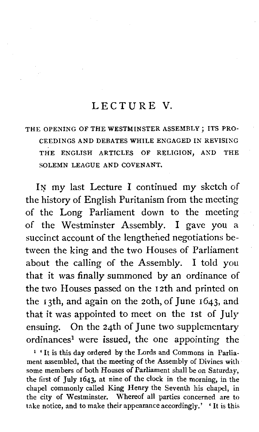#### LECTURE V

#### THE OPENING OF THE WESTMINSTER ASSEMBLY ; ITS PRO-CEEDINGS AND DEBATES WHILE ENGAGED IN REVISING THE ENGLISH ARTICLES OF RELIGION, AND THE SOLEMN LEAGUE AND COVENANT.

**IN** my last Lecture I continued my sketch of the history of English Puritanism from the meeting of the Long Parliament down to the meeting of the Westminster Assembly. I gave you a succinct account of the lengthened negotiations between the king and the two Houses of Parliament about the calling of the Assembly. I told you that it was finally summoned by an ordinance of the two Houses passed on the 12th and printed on the 13th, and again on the 2oth, of June 1643, and that it was appointed to meet on the 1st of July ensuing. On the 24th of June two supplementary ordinances<sup>1</sup> were issued, the one appointing the

**l** ' It is this day ordered by the Lords and Commons in Parliament assembled, that the meeting of the Assembly of Divines with some members of both Houses of Parliament shall be on Saturday, the first of July 1643, at nine of the clock in the morning, in the chapel commonly called King Henry the Seventh his chapel, in the city of Westminster. Whereof all parties concerned are to take notice, and to make their appearance accordingly.' ' It is this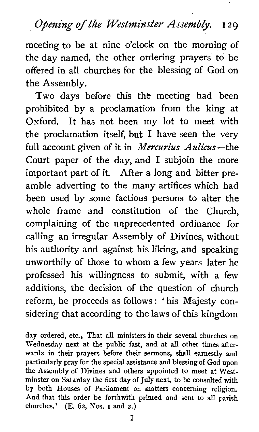*Opening* **of** *the Westminster Assembly. 1 2 g* 

meeting to be at nine o'clock on the morning of the day named, the other ordering prayers to be offered in all churches for the blessing of God on the Assembly.

Two days before this the meeting had been prohibited by a proclamation from the king at Oxford. It has not been my lot to meet with the proclamation itself, but I have seen the very full account given of it in *Mercurius Aulicus*-the Court paper of the day, and I subjoin the more important part of it. After a long and bitter preamble adverting to the many artifices which had been used by some factious persons to alter the whole frame and constitution of the Church, complaining of the unprecedented ordinance for calling an irregular Assembly of Divines, without his authority and against his liking, and speaking unworthily of those to whom a few years later he professed his willingness to submit, with a few additions, the decision of the question of church reform, he proceeds as follows : ' his Majesty considering that according to the laws of this kingdom

day ordered, etc., That all ministers in their several churches on Wednesday next at the public fast, and at all other times afterwards in their prayers before their sermons, shall earnestly and particularly pray for the special assistance and blessing of God upon the Assembly of Divines and others appointed to meet at Westminster on Saturday the first day of **July** next, to be consulted with by both Houses of Parliament on matters concerning religion. And that this order be forthwith printed and sent to all parish churches.' (E. 62, Nos. I and 2.)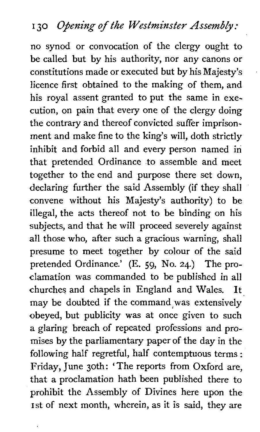## *<sup>I</sup>***30** *Opening of the Westminster Assembly:*

no synod or convocation of the clergy ought to be called but by his authority, nor any canons or constitutions made or executed but by his Majesty's licence first obtained to the making of them, and his royal assent granted to put the same in execution, on pain that every one of the clergy doing the contrary and thereof convicted suffer imprisonment and make fine to the king's will, doth strictly inhibit and forbid all and every person named in that pretended Ordinance to assemble and meet together to the end and purpose there set down, declaring further the said Assembly (if they shall convene without his Majesty's authority) to be illegal, the acts thereof not to be binding on his subjects, and that he will proceed severely against all those who, after such a gracious warning, shall presume to meet together by colour of the said pretended Ordinance.' (E. 59, No. 24.) The proclamation was commanded to be published in all churches and chapels in England and Wales. It may be doubted if the command was extensively obeyed, but publicity was at once given to such a glaring breach of repeated professions and promises by the parliamentary paper of the day in the following half regretful, half contemptuous terms : Friday, June 30th: ' The reports from Oxford are, that a proclamation hath been published there to prohibit the Assembly of Divines here upon the 1st of next month, wherein, as it is said, they are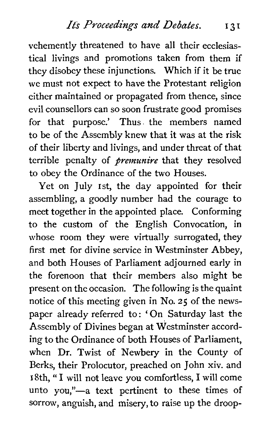vehemently threatened to have all their ecclesiastical livings and promotions taken from them if they disobey these injunctions. Which if it be true we must not expect to have the Protestant religion either maintained or propagated from thence, since evil counsellors can so soon frustrate good promises for that purpose.' Thus. the members named to be of the Assembly knew that it was at the risk of their liberty and livings, and under threat of that terrible penalty of *pernunire* that they resolved to obey the Ordinance of the two Houses.

Yet on July rst, the day appointed for their assembling, a goodly number had the courage to meet together in the appointed place. Conforming to the custom of the English Convocation, in whose room they were virtually surrogated, they first met for divine service in Westminster Abbey, and both Houses of Parliament adjourned early in the forenoon that their members also might be present on the occasion. The following is the quaint notice of this meeting given in No. **25** of the newspaper already referred to : ' On Saturday last the Assembly of Divines began at Westminster according to the Ordinance of both Houses of Parliament, when Dr. Twist of Newbery in the County of Berks, their Prolocutor, preached on John xiv. and 18th, " I will not leave you comfortless, I will come unto you,"-a text pertinent to these times of sorrow, anguish, and misery, to raise up the droop-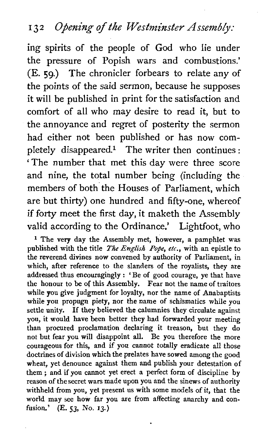### 132 Opening of the Westminster Assembly:

ing spirits of the people of God who lie under the pressure of Popish wars and combustions.' (E. 59.) The chronicler forbears to relate any of the points of the said sermon, because he supposes it will be published in print for the satisfaction and comfort of all who may desire to read it, but to the annoyance and regret of posterity the sermon had either not been published or has now completely disappeared.<sup>1</sup> The writer then continues : ' The number that met this day were three score and nine, the total number being (including the members of both the Houses of Parliament, which are but thirty) one hundred and fifty-one, whereof if forty meet the first day, it maketh the Assembly valid according to the Ordinance.' Lightfoot, who

<sup>1</sup> The very day the Assembly met, however, a pamphlet was published with the title The **English** Pope, etc., with an epistle to the reverend divines now convened by authority of Parliament, in which, after reference to the slanders of the royalists, they are addressed thus encouragingly : 'Be of good courage, ye that have the honour to be of this Assembly. Fear not the name of traitors while you give judgment for loyalty, nor the name of Anabaptists while you propugn piety, nor the name of schismatics while you settle unity. If they believed the calumnies they circulate against you, it would have been better they had forwarded your meeting than procured proclamation declaring it treason, but they do not but fear you will disappoint all. Be you therefore the more courageous for this, and if you cannot totally eradicate all those doctrines of division which the prelates have sowed among the good wheat, yet denounce against them and publish your detestation of them ; and if you cannot yet erect a perfect form of discipline by reason of the secret wars made upon you and the sinews of authority withheld from you, yet present us with some models of it, that the world may see how far you are from affecting anarchy and con**fusion.'** (E. 53, No. **13.)**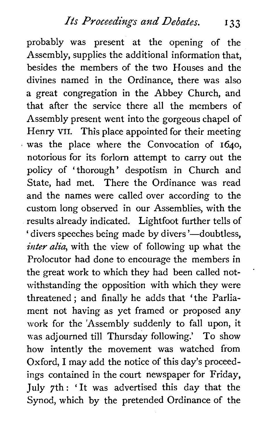probably was present at the opening of the Assembly, supplies the additional information that, besides the members of the two Houses and the divines named in the Ordinance, there was also a great congregation in the Abbey Church, and that after the service there all the members of Assembly present went into the gorgeous chapel of Henry VII. This place appointed for their meeting  $\cdot$  was the place where the Convocation of 1640, notorious for its forlorn attempt to carry out the policy of 'thorough' despotism in Church and State, had met. There the Ordinance was read and the names were called over according to the custom long observed in our Assemblies, with the results already indicated. Lightfoot further tells of ' divers speeches being made by divers'—doubtless, inter alia, with the view of following up what the Prolocutor had done to encourage the members in the great work to which they had been called notwithstanding the opposition with which they were threatened ; and finally he adds that 'the Parliament not having as yet framed or proposed any work for the 'Assembly suddenly to fall upon, it was adjourned till Thursday following.' To show how intently the movement was watched from Oxford, I may add the notice of this day's proceedings contained in the court newspaper for Friday, July 7th : 'It was advertised this day that the Synod, which by the pretended Ordinance of the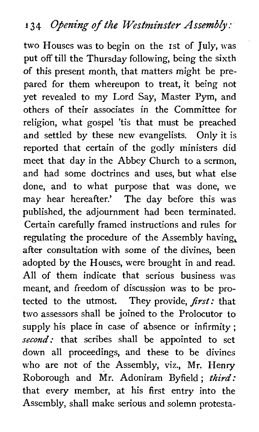# **<sup>1</sup>3** 4 *Opening of the Westminster Assembly* :

two Houses was to begin on the 1st of July, was put off till the Thursday following, being the sixth of this present month, that matters might be prepared for them whereupon to treat, it being not yet revealed to my Lord Say, Master Pym, and others of their associates in the Committee for religion, what gospel 'tis that must be preached and settled by these new evangelists. Only it is reported that certain of the godly ministers did meet that day in the Abbey Church to a sermon, and had some doctrines and uses, but what else done, and to what purpose that was done, we may hear hereafter.' The day before this was published, the adjournment had been terminated. Certain carefully framed instructions and rules for regulating the procedure of the Assembly having, after consultation with some of the divines, been adopted by the Houses, were brought in and read. All of them indicate that serious business was meant, and freedom of discussion was to be protected to the utmost. They provide, **first:** that two assessors shall be joined to the Prolocutor to supply his place in case of absence or infirmity; *second:* that scribes shall be appointed to set down all proceedings, and these to be divines who are not of the Assembly, viz., Mr. Henry Roborough and Mr. Adoniram Byfield; **third:**  that every member, at his first entry into the Assembly, shall make serious and solemn protesta-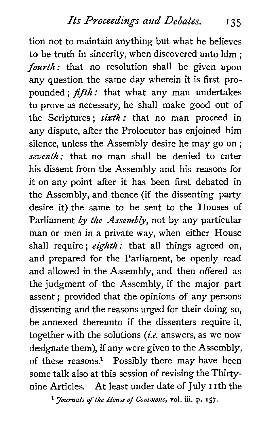tion not to maintain anything but what he believes to be truth in sincerity, when discovered unto him ; fourth: that no resolution shall be given upon any question the same day wherein it is first propounded ;  $fifth$ : that what any man undertakes to prove as necessary, he shall make good out of the Scriptures; sixth: that no man proceed in any dispute, after the Prolocutor has enjoined him silence, unless the Assembly desire he may go on ; seventh: that no man shall be denied to enter his dissent from the Assembly and his reasons for it on any point after it has been first debated in the Assembly, and thence (if the dissenting party desire it) the same to be sent to the Houses of Parliament *by* the Assembly, not by any particular man or men in a private way, when either House shall require; eighth: that all things agreed on, and prepared for the Parliament, be openly read and allowed in the Assembly, and then offered as the judgment of the Assembly, if the major part assent ; provided that the opinions of any persons dissenting and the reasons urged for their doing so, be annexed thereunto if the dissenters require it, together with the solutions (*i.e.* answers, as we now designate them), if any were given to the Assembly, of these reasons? Possibly there may have been some talk also at this session of revising the Thirtynine Articles. At least under date of July I ith the

**Journals of the House of Commons, vol.** iii. **p. 157.**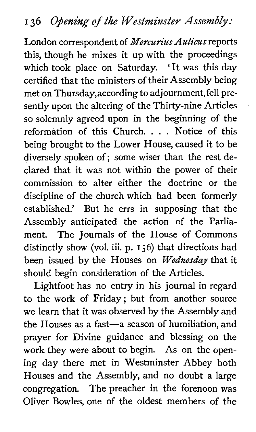London correspondent of **Mercurius Aulicus** reports this, though he mixes it up with the proceedings which took place on Saturday. ' It was this day certified that the ministers of their Assembly being met on Thursday,according to adjournment, fell presently upon the altering of the Thirty-nine Articles so solemnly agreed upon in the beginning of the reformation of this Church. . . . Notice of this being brought to the Lower House, caused it to be diversely spoken of; some wiser than the rest declared that it was not within the power of their commission to alter either the doctrine or the discipline of the church which had been formerly established.' But he errs in supposing that the Assembly anticipated the action of the Parliament. The Journals of the House of Commons distinctly show (vol. iii. p. **156)** that directions had been issued by the Houses on *Wednesday* that it should begin consideration of the Articles.

Lightfoot has no entry in his journal in regard to the work of Friday; but from another source we learn that it was observed by the Assembly and the Houses as a fast-a season of humiliation, and prayer for Divine guidance and blessing on the work they were about to begin. As on the opening day there met in Westminster Abbey both Houses and the Assembly, and no doubt a large congregation. The preacher in the forenoon was Oliver Bowles, one of the oldest members of the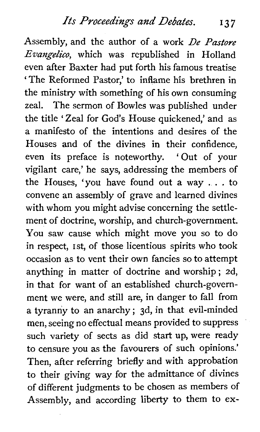Assembly, and the author of a work De Pastore  $Evangelico$ , which was republished in Holland even after Baxter had put forth his famous treatise 'The Reformed Pastor,' to inflame his brethren in the ministry with something of his own consuming zeal. The sermon of Bowles was published under the title 'Zeal for God's House quickened,' and as a manifesto of the intentions and desires of the Houses and of the divines in their confidence, even its preface is noteworthy. 'Out of your vigilant care,' he says, addressing the members of the Houses, 'you have found out a way . . . to convene an assembly of grave and learned divines with whom you might advise concerning the settlement of doctrine, worship, and church-government. You saw cause which might move you so to do in respect, rst, of those licentious spirits who took occasion as to vent their own fancies so to attempt anything in matter of doctrine and worship ; 2d, in that for want of an established church-government we were, and still are, in danger to fall from a tyranny to an anarchy ; 3d, in that evil-minded men, seeing no effectual means provided to suppress such variety of sects as did start up, were ready to censure you as the favourers of such opinions.' Then, after referring briefly and with approbation to their giving way for the admittance of divines of different judgments to be chosen as members of Assembly, and according liberty to them to ex-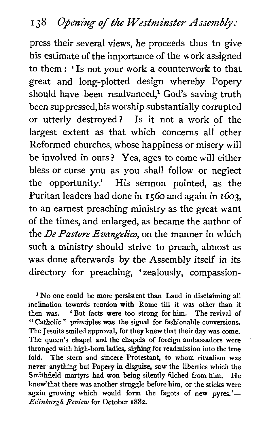press their several views, he proceeds thus to give his estimate of the importance of the work assigned to them : ' Is not your work a counterwork to that great and long-plotted design whereby Popery should have been readvanced,<sup>1</sup> God's saving truth been suppressed, his worship substantially corrupted or utterly destroyed? Is it not a work of the largest extent as that which concerns all other Reformed churches, whose happiness or misery will be involved in ours? Yea, ages to come will either bless or curse you as you shall follow or neglect the opportunity.' His sermon pointed, as the Puritan leaders had done in 1560 and again in 1603, to an earnest preaching ministry as the great want of the times, and enlarged, as became the author of the *De Pastore Evangelico,* on the manner in which such a ministry should strive to preach, almost as was done afterwards by the Assembly itself in its directory for preaching, 'zealously, compassion-

<sup>1</sup> No one could be more persistent than Laud in disclaiming all inclination towards reunion with Rome till it was other than it then was. 'But facts were too strong for him. The revival of " Catholic " principles was the signal for fashionable conversions. The Jesuits smiled approval, for they knew that their day was come. The queen's chapel and the chapels of foreign ambassadors were thronged with high-born ladies, sighing for readmission into the true fold. The stem and sincere Protestant, to whom ritualism was never anything but Popery in disguise, saw the liberties which the Smithfield martyrs had won being silently filched from him. He knew'that there was another struggle before him, or the sticks were again growing which would form the fagots of new pyres.'-Edinburgh Review for October 1882.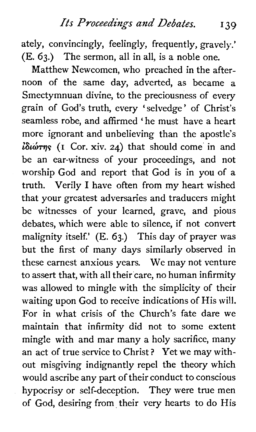ately, convincingly, feelingly, frequently, gravely.' (E. 63.) The sermon, all in all, is a noble one.

Matthew Newcomen, who preached in the afternoon of the same day, adverted, as became a Smectymnuan divine, to the preciousness of every grain of God's truth, every 'selvedge ' of Christ's seamless robe, and affirmed 'he must have a heart more ignorant and unbelieving than the apostle's  $i\delta\omega\tau\eta\varsigma$  (I Cor. xiv. 24) that should come in and be an ear-witness of your proceedings, and not worship God and report that God is in you of a truth. Verily I have often from my heart wished that your greatest adversaries and traducers might be witnesses of your learned, grave, and pious debates, which were able to silence, if not convert malignity itself.' (E. 63.) This day of prayer was but the first of many days similarly observed in these earnest anxious years. We may not venture to assert that, with all their care, no human infirmity was allowed to mingle with the simplicity of their waiting upon God to receive indications of His will. For in what crisis of the Church's fate dare we maintain that infirmity did not to some extent mingle with and mar many a holy sacrifice, many an act of true service to Christ ? Yet we may without misgiving indignantly repel the theory which would ascribe any part of their conduct to conscious hypocrisy or self-deception. They were true men of God, desiring from their very hearts to do His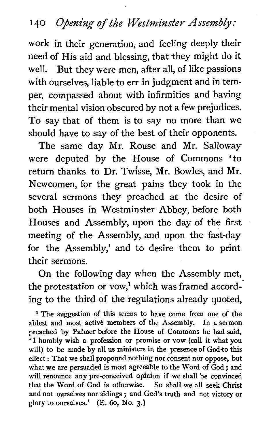work in their generation, and feeling deeply their need of His aid and blessing, that they might do it well. But they were men, after all, of like passions with ourselves, liable to err in judgment and in temper, compassed about with infirmities and having their mental vision obscured by not a few prejudices. To say that of them is to say no more than we should have to say of the best of their opponents.

The same day Mr. Rouse and Mr. Salloway were deputed by the House of Commons 'to return thanks to Dr. Twisse, Mr. Bowles, and Mr. Newcomen, for the great pains they took in the several sermons they preached at the desire of both Houses in Westminster Abbey, before both Houses and Assembly, upon the day of the first meeting of the Assembly, and upon the fast-day for the Assembly,' and to desire them to print their sermons.

On the following day when the Assembly met, the protestation or vow,<sup>1</sup> which was framed according to the third of the regulations already quoted,

<sup>1</sup> The suggestion of this seems to have come from one of the ablest and most active members of the Assembly. In a sermon preached by Palmer before the House of Commons he had said, 'I humbly wish a profession or promise or vow (call it what you will) to be made by all us ministers in the presence of God-to this effect : That we shall propound nothing nor consent nor oppose, but what we are persuaded is most agreeable to the Word of God ; and will renounce any pre-conceived opinion if we shall be convinced that the Word of God is otherwise. So shall we all seek Christ and not ourselves nor sidings ; and God's truth and not victory or glory to ourselves.' (E. 60, No. 3.)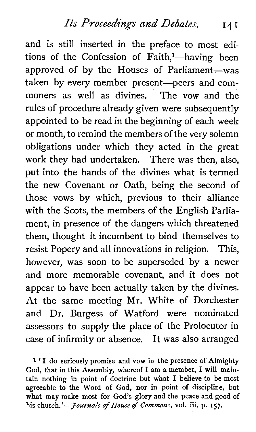and is still inserted in the preface to most editions of the Confession of Faith,<sup>1</sup>-having been approved of by the Houses of Parliament-was taken by every member present-peers and commoners as well as divines. The yow and the rules of procedure already given were subsequently appointed to be read in the beginning of each week or month, to remind the members of the very solemn obligations under which they acted in the great work they had undertaken. There was then, also, put into the hands of the divines what is termed the new Covenant or Oath, being the second of those vows by which, previous to their alliance with the Scots, the members of the English Parliament, in presence of the dangers which threatened them, thought it incumbent to bind themselves to resist Popery and all innovations in religion. This, however, was soon to be superseded by a newer and more memorable covenant, and it does not appear to have been actually taken by the divines. At the same meeting Mr. White of Dorchester and Dr. Burgess of Watford were nominated assessors to supply the place of the Prolocutor in case of infirmity or absence. It was also arranged

**<sup>1</sup>'I do seriously promise and vow in the presence of Almighty God, that in this Assembly, whereof I am a member, I will maintain nothing in point of doctrine but what I believe to be most agreeable to the Word of God, nor in point of discipline, but what may make most for God's glory and the peace and good of his church.'-Journals of** *Houseof* **Commons, vol. iii. p. 157.**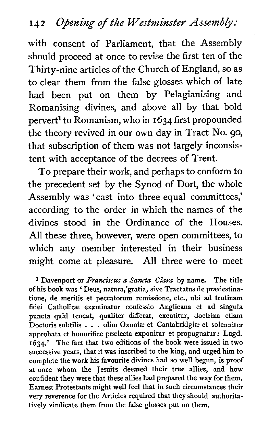with consent of Parliament, that the Assembly should proceed at once to revise the first ten of the Thirty-nine articles of the Church of England, so as to clear them from the false glosses which of late had been put on them by Pelagianising and Romanising divines, and above all by that bold pervert1 to Romanism, who in **1634** first propounded the theory revived in our own day in Tract No. **go,**  that subscription of them was not largely inconsistent with acceptance of the decrees of Trent.

To prepare their work, and perhaps to conform to the precedent set by the Synod of Dort, the whole Assembly was 'cast into three equal committees,' according to the order in which the names of the divines stood in the Ordinance of the Houses. All these three, however, were open committees, to which any member interested in their business might come at pleasure. All three were to meet

Davenport or *Franciscus* **a Sancta** *Clara* by name. The title of his book was ' Deus, natura,'gratia, sive Tractatus de praedestinatione, de meritis et peccatorum remissione, etc., ubi ad trutinam fidei Catholicse examinatur confessio Anglicans et ad singula puncta quid teneat, qualiter differat, excutitur, doctrina etiam Doctoris subtilis . . . olim Oxonise et Cantabridgiae et solenniter approbata et honorifice prælecta exponitur et propugnatur : Lugd. 1634.' The fact that two editions of the book were issued in two successive years, that it was inscribed to the king, and urged him to complete the work his favourite divines had so well begun, is proof at once whom the Jesuits deemed their true allies, and how confident they were that these allies had prepared the way for them. Earnest Protestants might well feel that in such circumstances their very reverence for the Articles required that they should authoritatively vindicate them from the false glosses put on them.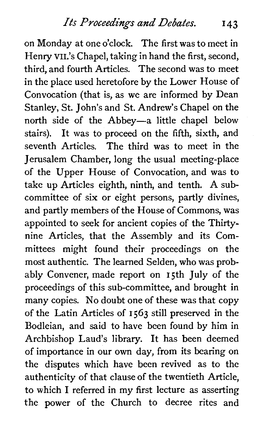*Its Proceedings and Debates.* **I 43** 

on Monday at one o'clock. The first was to meet in Henry VII.'s Chapel, taking in hand the first, second, third, and fourth Articles. The second was to meet in the place used heretofore by the Lower House of Convocation (that is, as we are informed by Dean Stanley, St. John's and St. Andrew's Chapel on the north side of the Abbey-a little chapel below stairs). It was to proceed on the fifth, sixth, and seventh Articles. The third was to meet in the Jerusalem Chamber, long the usual meeting-place of the Upper House of Convocation, and was to take up Articles eighth, ninth, and tenth. **A** subcommittee of six or eight persons, partly divines, and partly members of the House of Commons, was appointed to seek for ancient copies of the Thirtynine Articles, that the Assembly and its Committees might found their proceedings on the most authentic. The learned Selden, who was probably Convener, made report on 15th July of the proceedings of this sub-committee, and brought in many copies. No doubt one of these was that copy of the Latin Articles of 1563 still preserved in the Bodleian, and said to have been found by him in Archbishop Laud's library. It has been deemed of importance in our own day, from its bearing on the disputes which have been revived as to the authenticity of that clause of the twentieth Article, to which I referred in my first lecture as asserting the power of the Church to decree rites and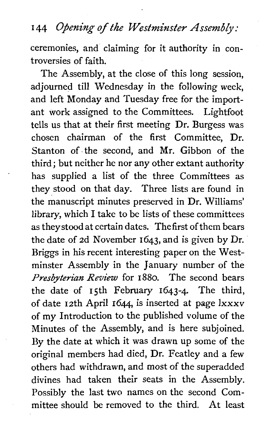## **<sup>I</sup>***44 Owing of the Westminster Assembly:*

ceremonies, and claiming for it authority in controversies of faith.

The Assembly, at the close of this long session, adiourned till Wednesday in the following week. and left Monday and Tuesday free for the important work assigned to the Committees. Lightfoot tells us that at their first meeting Dr. Burgess was chosen chairman of the first Committee, Dr. Stanton of the second, and Mr. Gibbon of the third; but neither he nor any other extant authority has supplied a list of the three Committees as they stood on that day. Three lists are found in the manuscript minutes preserved in Dr. Williams' library, which I take to be lists of these committees as theystoodat certain dates. The first of them bears the date of 2d November 1643, and is given by Dr. Briggs in his recent interesting paper on the Westminster Assembly in the January number of the *Presbyterian Review* for *1880.* The second bears the date of 15th February 1643-4. The third, of date 12th April 1644, is inserted at page lxxxv of my Introduction to the published volume of the Minutes of the Assembly, and is here subjoined. By the date at which it was drawn up some of the original members had died, Dr. Featley and a few others had withdrawn, and most of the superadded divines had taken their seats in the Assembly. Possibly the last two names on the second Committee should be removed to the third. At least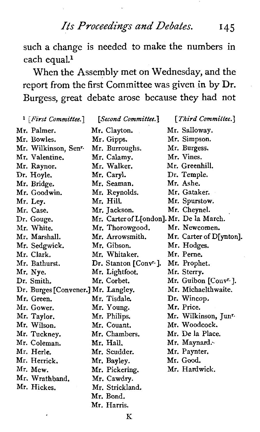*Its Proceedings* and *Debates.* I45

such a change is needed to make the numbers in each equal.<sup>1</sup>

When the Assembly met on Wednesday, and the report from the first Committee was given in by Dr. Burgess, great debate arose because they had not

| <sup>1</sup> [First Committee.]     | [Second Committee.]                      | [Third Committee.]               |
|-------------------------------------|------------------------------------------|----------------------------------|
| Mr. Palmer.                         | Mr. Clayton.                             | Mr. Salloway.                    |
| Mr. Bowles.                         | Mr. Gipps.                               | Mr. Simpson.                     |
| Mr. Wilkinson, Sen <sup>r.</sup>    | Mr. Burroughs.                           | Mr. Burgess.                     |
| Mr. Valentine.                      | Mr. Calamy.                              | Mr. Vines.                       |
| Mr. Raynor.                         | Mr. Walker.                              | Mr. Greenhill.                   |
| Dr. Hoyle.                          | Mr. Caryl.                               | Dr. Temple.                      |
| Mr. Bridge.                         | Mr. Seaman.                              | Mr. Ashe.                        |
| Mr. Goodwin.                        | Mr. Reynolds.                            | Mr. Gataker.                     |
| Mr. Ley.                            | Mr. Hill.                                | Mr. Spurstow.                    |
| Mr. Case.                           | Mr. Jackson.                             | Mr. Cheynel.                     |
| Dr. Gouge.                          | Mr. Carter of L[ondon]. Mr. De la March. |                                  |
| Mr. White.                          | Mr. Thorowgood.                          | Mr. Newcomen.                    |
| Mr. Marshall.                       | Mr. Arrowsmith.                          | Mr. Carter of D[ynton].          |
| Mr. Sedgwick.                       | Mr. Gibson.                              | Mr. Hodges.                      |
| Mr. Clark.                          | Mr. Whitaker.                            | Mr. Perne.                       |
| Mr. Bathurst.                       | Dr. Stanton [Conv <sup>r.</sup> ].       | Mr. Prophet.                     |
| Mr. Nye.                            | Mr. Lightfoot.                           | Mr. Sterry.                      |
| Dr. Smith.                          | Mr. Corbet.                              | Mr. Guibon [Convr.].             |
| Dr. Burges [Convener.] Mr. Langley. |                                          | Mr. Michaelthwaite.              |
| Mr. Green.                          | Mr. Tisdale                              | Dr. Wincop.                      |
| Mr. Gower.                          | Mr. Young.                               | Mr. Price.                       |
| Mr. Taylor.                         | Mr. Philips.                             | Mr. Wilkinson, Jun <sup>r.</sup> |
| Mr. Wilson.                         | Mr. Couant.                              | Mr. Woodcock.                    |
| Mr. Tuckney.                        | Mr. Chambers.                            | Mr. De la Place.                 |
| Mr. Coleman.                        | Mr. Hall.                                | Mr. Maynard.                     |
| Mr. Herle.                          | Mr. Scudder.                             | Mr. Paynter.                     |
| Mr. Herrick,                        | Mr. Bayley.                              | Mr. Good.                        |
| Mr. Mew.                            | Mr. Pickering.                           | Mr. Hardwick.                    |
| Mr. Wrathband.                      | Mr. Cawdry.                              |                                  |
| Mr. Hickes.                         | Mr. Strickland.                          |                                  |
|                                     | Mr. Bond.                                |                                  |
|                                     | Mr. Harris.                              |                                  |

**K**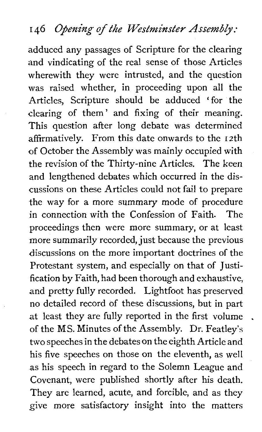adduced any passages of Scripture for the clearing and vindicating of the real sense of those Articles wherewith they were intrusted, and the question was raised whether, in proceeding upon all the Articles, Scripture should be adduced 'for the clearing of them' and fixing of their meaning. This question after long debate was determined affirmatively. From this date onwards to the 12th of October the Assembly was mainly occupied with the revision of the Thirty-nine Articles. The keen and lengthened debates which occurred in the discussions on these Articles could not fail to prepare the way for a more summary mode of procedure in connection with the Confession of Faith. The proceedings then were more summary, or at least more summarily recorded, just because the previous discussions on the more important doctrines of the Protestant system, and especially on that of Justification by Faith, had been thorough and exhaustive, and pretty fully recorded. Lightfoot has preserved no detailed record of these discussions, but in part at least they are fully reported in the first volume of the MS. Minutes of the Assembly. Dr. Featley's two speeches in the debates on the eighth Article and his five speeches on those on the eleventh, as well as his speech in regard to the Solemn League and Covenant, were published shortly after his death. They are learned, acute, and forcible, and as they give more satisfactory insight into the matters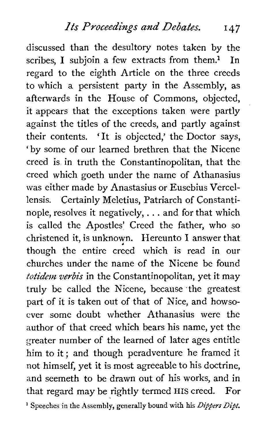discussed than the desultory notes taken by the scribes, I subjoin a few extracts from them.<sup>1</sup> In regard to the eighth Article on the three creeds to which a persistent party in the Assembly, as afterwards in the House of Commons, objected, it appears that the exceptions taken were partly against the titles of the creeds, and partly against their contents. 'It is objected,' the Doctor says, 'by some of our learned brethren that the Nicene creed is in truth the Constantinopolitan, that the creed which goeth under the name of Athanasius was either made by Anastasius or Eusebius Vercellensis. Certainly Meletius, Patriarch of Constantinople, resolves it negatively, . . . and for that which is called the Apostles' Creed the father, who so christened it, is unknown. Hereunto I answer that though the entire creed which is read in our churches under the name of the Nicene be found *totidem veybis* in the Constantinopolitan, yet it may truly be called the Nicene, because the greatest part of it is taken out of that of Nice, and howsoever some doubt whether Athanasius were the author of that creed which bears his name, yet the greater number of the learned of later ages entitle him to it; and though peradventure he framed it not himself, yet it is most agreeable to his doctrine, and seemeth to be drawn out of his works, and in that regard may be rightly termed HIS creed. For ' Speeches in the Assembly, generally bound with his **Dippers** *Dipt.*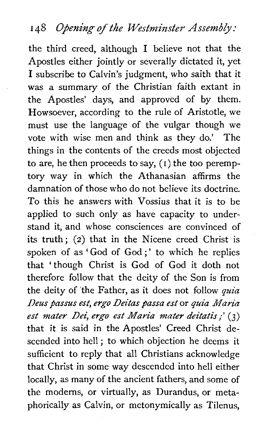# 148 Opening of the Westminster Assembly:

the third creed, although I believe not that the Apostles either jointly or severally dictated it, yet I subscribe to Calvin's judgment, who saith that it was a summary of the Christian faith extant in the Apostles' days, and approved of by them. Howsoever, according to the rule of Aristotle, we must use the language of the vulgar though we vote with wise men and think as they do.' The things in the contents of the creeds most objected to are, he then proceeds to say,  $(1)$  the too peremptory way in which the Athanasian affirms the damnation of those who do not believe its doctrine. To this he answers with Vossius that it is to be applied to such only as have capacity to understand it, and whose consciences are convinced of its truth; (2) that in the Nicene creed Christ is spoken of as 'God of God ;' to which he replies that 'though Christ is God of God it doth not therefore follow that the deity of the Son is from the deity of the Father, as it does not follow quia Deus passus est, ergo Deitas passa est or quia Maria est mater **Dei,** *ergo est* Maria mater deitatis;' **(3)**  that it is said in the Apostles' Creed Christ descended into hell ; to which objection he deems it sufficient to reply that all Christians acknowledge that Christ in some way descended into hell either locally, as many of the ancient fathers, and some of the moderns, or virtually, as Durandus, or metaphorically as Calvin, or metonymically as Tilenus,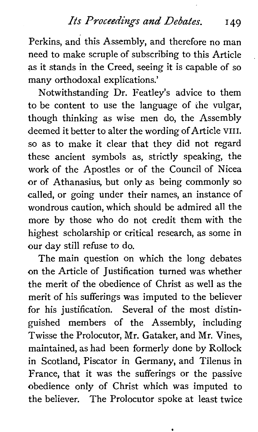### *Its Proceedings* and *Debates.* I 49

Perkins, and this Assembly, and therefore no man need to make scruple of subscribing to this Article as it stands in the Creed, seeing it is capable of so many orthodoxal explications.'

Notwithstanding Dr. Featley's advice to them to be content to use the language of ihe vulgar, though thinking as wise men do, the Assembly deemed it better to alter the wording of Article **VIII.**  so as to make it clear that they did not regard these ancient symbols as, strictly speaking, the work of the Apostles or of the Council of Nicea or of Athanasius, but only as being commonly so called, or going under their names, an instance of wondrous caution, which should be admired all the more by those who do not credit them with the highest scholarship or critical research, as some in our day still refuse to do.

The main question on which the long debates on the Article of Justification turned was whether the merit of the obedience of Christ as well as the merit of his sufferings was imputed to the believer for his justification. Several of the most distinguished members of the Assembly, including Twisse the Prolocutor, Mr. Gataker, and Mr. Vines, maintained, as had been formerly done by Rollock in Scotland, Piscator in Germany, and Tilenus in France, that it was the sufferings or the passive obedience only of Christ which was imputed to the believer. The Prolocutor spoke at least twice

¢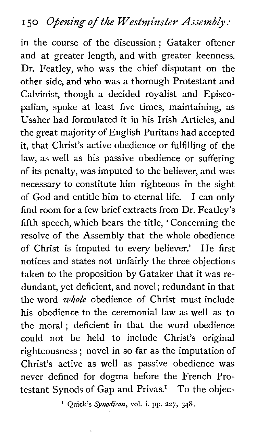in the course of the discussion; Gataker oftener and at greater length, and with greater keenness. Dr. Featley, who was the chief disputant on the other side, and who was a thorough Protestant and Calvinist, though a decided royalist and Episcopalian, spoke at least five times, maintaining, as Ussher had formulated it in his Irish Articles, and the great majority of English Puritans had accepted it, that Christ's active obedience or fulfilling of the law, as well as his passive obedience or suffering of its penalty, was imputed to the believer, and was necessary to constitute him righteous in the sight of God and entitle him to eternal life. I can only find room for a few brief extracts from Dr. Featley's fifth speech, which bears the title, ' Concerning the resolve of the Assembly that the whole obedience of Christ is imputed to every believer.' He first notices and states not unfairly the three objections taken to the proposition by Gataker that it was redundant, yet deficient, and novel; redundant in that the word *whole* obedience of Christ must include his obedience to the ceremonial law as well as to the moral; deficient in that the word obedience could not be held to include Christ's original righteousness ; novel in so far as the imputation of Christ's active as well as passive obedience was never defined for dogma before the French Protestant Synods of Gap and Privas.<sup>1</sup> To the objec-

**l Quick's** *Synodicon,* **vol. i. pp. 227, 348.**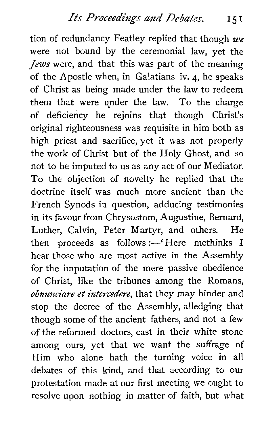tion of redundancy Featley replied that though we were not bound by the ceremonial law, yet the *Jews* were, and that this was part of the meaning of the Apostle when, in Galatians iv. 4, he speaks of Christ as being made under the law to redeem them that were under the law. To the charge of deficiency he rejoins that though Christ's original righteousness was requisite in him both as high priest and sacrifice, yet it was not properly the work of Christ but of the Holy Ghost, and so not to be imputed to us as any act of our Mediator. To the objection of novelty he replied that the doctrine itself was much more ancient than the French Synods in question, adducing testimonies in its favour from Chrysostom, Augustine, Bernard, Luther, Calvin, Peter Martyr, and others. He then proceeds as follows: $-$ 'Here methinks I hear those who are most active in the Assembly for the imputation of the mere passive obedience of Christ, like the tribunes among the Romans, obnunciare et intercedere, that they may hinder and stop the decree of the Assembly, alledging that though some of the ancient fathers, and not a few of the reformed doctors, cast in their white stone among ours, yet that we want the suffrage of Him who alone hath the turning voice in all debates of this kind, and that according to our protestation made at our first meeting we ought to resolve upon nothing in matter of faith, but what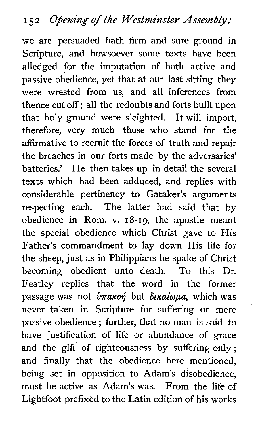we are persuaded hath firm and sure ground in Scripture, and howsoever some texts have been alledged for the imputation of both active and passive obedience, yet that at our last sitting they were wrested from us, and all inferences from thence cut off; all the redoubts and forts built upon that holy ground were sleighted. It will import, therefore, very much those who stand for the affirmative to recruit the forces of truth and repair the breaches in our forts made by the adversaries' batteries.' He then takes up in detail the several texts which had been adduced, and replies with considerable pertinency to Gataker's arguments respecting each. The latter had said that by obedience in Rom. v. 18-19, the apostle meant the special obedience which Christ gave to His Father's commandment to lay down His life for the sheep, just as in Philippians he spake of Christ becoming obedient unto death. To this Dr. Featley replies that the word in the former passage was not  $\hat{v}$ *rakon* but  $\delta$ *kaloua*, which was never taken in Scripture for suffering or mere passive obedience ; further, that no man is said to have justification of life or abundance of grace and the gift of righteousness by suffering only; and finally that the obedience here mentioned, being set in opposition to Adam's disobedience, must be active as Adam's was. From the life of Lightfoot prefixed to the Latin edition of his works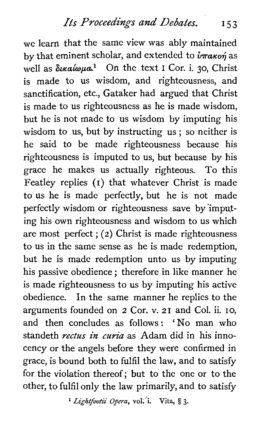# *Its Proceedings and Debates.* **I** 5 <sup>3</sup>

we learn that the same view was ably maintained by that eminent scholar, and extended to  $\hat{v}$ *THakon*<sup>2</sup> as well as δικαίωμα<sup>1</sup> On the text **1** Cor. i. 30, Christ is made to us wisdom, and righteousness, and sanctification, etc., Gataker had argued that Christ is made to us righteousness as he is made wisdom, but he is not made to us wisdom by imputing his wisdom to us, but by instructing us ; so neither is he said to be made righteousness because his righteousness is imputed to us, but because by his grace he makes us actually righteous. To this Featley replies (I) that whatever Christ is made to us he is made perfectly, but he is not made perfectly wisdom or righteousness save by'impqting his own righteousness and wisdom to us which are most perfect ; **(2)** Christ is made righteousness to us in the same sense as he is made redemption, but he is made redemption unto us by imputing his passive obedience ; therefore in like manner he is made righteousness to us by imputing his active obedience. In the same manner he replies to the arguments founded on 2 Cor. v. 21 and Col. ii. 10, and then concludes as follows : 'No man who standeth *rectus* in **curia** as Adam did in his innocency or the angels before they were confirmed in grace, is bound both to fulfil the law, and to satisfy for the violation thereof; but to the one or to the other, to fulfil only the law primarily, and to satisfy

*Lightfootii Opera,* **vo1.i. Vita, 5 3.**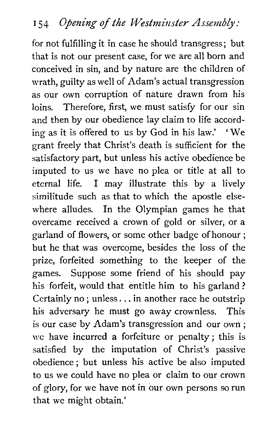for not fulfilling it in case he should transgress ; but that is not our present case, for we are all born and conceived in sin, and by nature are the children of wrath, guilty as well of Adam's actual transgression as our own corruption of nature drawn from his loins. Therefore, first, we must satisfy for our sin and then by our obedience lay claim to life according as it is offered to us by God in his law.' ' We grant freely that Christ's death is sufficient for the satisfactory part, but unless his active obedience be imputed to us we have no plea or title at all to eternal life. I may illustrate this by a lively similitude such as that to which the apostle elsewhere alludes. In the Olympian games he that overcame received a crown of gold or silver, or a garland of flowers, or some other badge of honour ; but he that was overcome, besides the loss of the prize, forfeited something to the keeper of the games. Suppose some friend of his should pay his forfeit, would that entitle him to his garland ? Certainly no ; unless. . . in another race he outstrip his adversary he must go away crownless. This is our case by Adam's transgression and our own ; we have incurred **a** forfeiture or penalty; this is satisfied by the imputation of Christ's passive obedience ; but unless his active be also imputed to us we could have no plea or claim to our crown of glory, for we have not in our own persons so run that we might obtain.'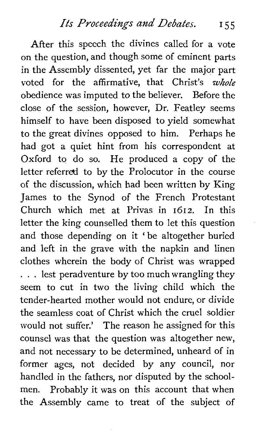After this speech the divines called for a vote on the question, and though some of eminent parts in the Assembly dissented, yet far the major part voted for the affirmative, that Christ's whole obedience was imputed to the believer. Before the close of the session, however, Dr. Featley seems himself to have been disposed to yield somewhat to the great divines opposed to him. Perhaps he had got a quiet hint from his correspondent at Oxford to do so. He produced a copy of the letter referred to by the Prolocutor in the course of the discussion, which had been written by King James to the Synod of the French Protestant Church which met at Privas in 1612. In this letter the king counselled them to let this question and those depending on it 'be altogether buried and left in the grave with the napkin and linen clothes wherein the body of Christ was wrapped ... lest peradventure by too much wrangling they seem to cut in two the living child which the tender-hearted mother would not endure, or divide the seamless coat of Christ which the cruel soldier would not suffer.' The reason he assigned for this counsel was that the question was altogether new, and not necessary to be determined, unheard of in former ages, not decided by any council, nor handled in the fathers, nor disputed by the schoolmen. Probably it was on this account that when the Assembly came to treat of the subject of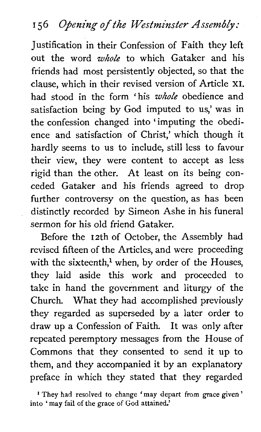# 156 Opening of the Westminster Assembly:

Justification in their Confession of Faith they left out the word *whole* to which Gataker and his friends had most persistently objected, so that the clause, which in their revised version of Article **XI.**  had stood in the form 'his *whole* obedience and satisfaction being by God imputed to us,' was in the confession changed into 'imputing the obedience and satisfaction of Christ,' which though it hardly seems to us to include, still less to favour their view, they were content to accept as less rigid than the other. At least on its being conceded Gataker and his friends agreed to drop further controversy on the question, as has been distinctly recorded by Simeon Ashe in his funeral sermon for his old friend Gataker.

Before the 12th of October, the Assembly had revised fifteen of the Articles, and were proceeding with the sixteenth,<sup>1</sup> when, by order of the Houses, they laid aside this work and proceeded to take in hand the government and liturgy of the Church. What they had accomplished previously they regarded as superseded by a later order to draw up a Confession of Faith. It was only after repeated peremptory messages from the House of Commons that they consented to send it up to them, and they accompanied it by an explanatory preface in which they stated that they regarded

<sup>&</sup>lt;sup>1</sup> They had resolved to change 'may depart from grace given' into 'may fail of the grace of God attained.'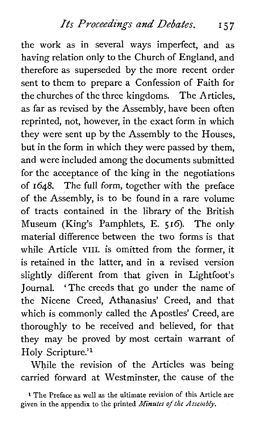the work as in several ways imperfect, and as having relation only to the Church of England, and therefore as superseded by the more recent order sent to them to prepare a Confession of Faith for the churches of the three kingdoms. The Articles, as far as revised by the Assembly, have been often reprinted, not, however, in the exact form in which they were sent up by the Assembly to the Houses, but in the form in which they were passed by them, and were included among the documents submitted for the acceptance of the king in the negotiations of 1648. The full form, together with the preface of the Assembly, is to be found in a rare volume of tracts contained in the library of the British Museum (King's Pamphlets, E. 516). The only material difference between the two forms is that while Article VIII. is omitted from the former, it is retained in the latter, and in a revised version slightly different from that given in Lightfoot's Journal. 'The creeds that go under the name of the Nicene Creed, Athanasius' Creed, and that which is commonly called the Apostles' Creed, are thoroughly to be received and believed, for that they may be proved by most certain warrant of Holy Scripture.'l

While the revision of the Articles was being carried forward at Westminster, the cause of the

**<sup>1</sup>**The Preface as well as the ultimate revision of this Article are given in the appendix to the printed **Minutes** of *the Assembly.*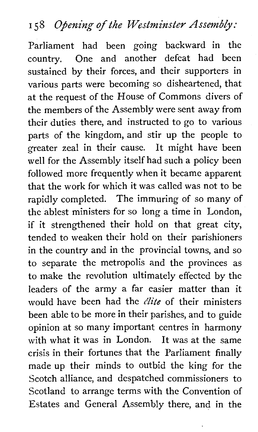# *I 58 Opening of the Westminster Assembly:*

Parliament had been going backward in the country. One and another defeat had been sustained by their forces, and their supporters in various parts were becoming so disheartened, that at the request of the House of Commons divers of the members of the Assembly were sent away from their duties there, and instructed to go to various parts of the kingdom, and stir up the people to greater zeal in their cause. It might have been well for the Assembly itself had such a policy been followed more frequently when it became apparent that the work for which it was called was not to be rapidly completed. The immuring of so many of the ablest ministers for so long a time in London, if it strengthened their hold on that great city, tended to weaken their hold on their parishioners in the country and in the provincial towns, and so to separate the metropolis and the provinces as to make the revolution ultimately effected by the leaders of the army a far easier matter than it would have been had the **elite** of their ministers been able to be more in their parishes, and to guide opinion at so many important centres in harmony with what it was in London. It was at the same crisis in their fortunes that the Parliament finally made up their minds to outbid the king for the Scotch alliance, and despatched commissioners to Scotland to arrange terms with the Convention of Estates and General Assembly there, and in the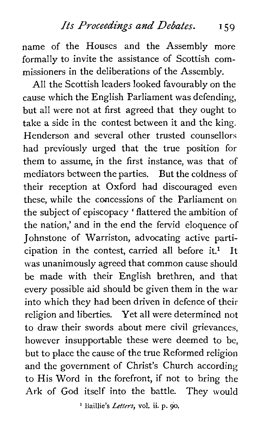name of the Houses and the Assembly more formally to invite the assistance of Scottish commissioners in the deliberations of the Assembly.

All the Scottish leaders looked favourably on the cause which the English Parliament was defending, but all were not at first agreed that they ought to take a side in the contest between it and the king. Henderson and several other trusted counsellors had previously urged that the true position for them to assume, in the first instance, was that of mediators between the parties. But the coldness of their reception at Oxford had discouraged even these, while the concessions of the Parliament on the subject of episcopacy ' flattered the ambition of the nation,' and in the end the fervid eloquence of Johnstone of Warriston, advocating active participation in the contest, carried all before it.<sup>1</sup> It was unanimously agreed that common cause should be made with their English brethren, and that every possible aid should be given them in the war into which they had been driven in defence of their religion and liberties. Yet all were determined not to draw their swords about mere civil grievances, however insupportable these were deemed to be, but to place the cause of the true Reformed religion and the government of Christ's Church according to His Word in the forefront, if not to bring the Ark of God itself into the battle. They would

' **Baillie's** *Letters,* **vol.** ii. **p. 90.**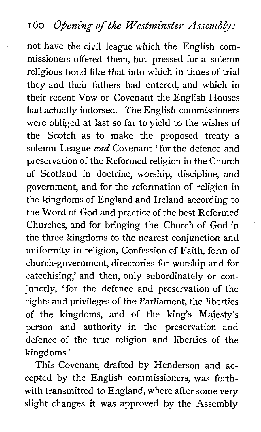#### **<sup>I</sup>***60 Opening of the Westminster Assembly:*

not have the civil league which the English commissioners offered them, but pressed for a solemn religious bond like that into which in times of trial they and their fathers had entered, and which in their recent Vow or Covenant the English Houses had actually indorsed. The English commissioners were obliged at last so far to yield to the wishes of the Scotch as to make the proposed treaty a solemn League and Covenant ' for the defence and preservation of the Reformed religion in the Church of Scotland in doctrine, worship, discipline, and government, and for the reformation of religion in the kingdoms of England and Ireland according to the Word of God and practice of the best Reformed Churches, and for bringing the Church of God in the three kingdoms to the nearest conjunction and uniformity in religion, Confession of Faith, form of church-government, directories for worship and for catechising,' and then, only subordinately or conjunctly, 'for the defence and preservation of the rights and privileges of the Parliament, the liberties of the kingdoms, and of the king's Majesty's person and authority in the preservation and defence of the true religion and liberties of the kingdoms.'

This Covenant, drafted by Henderson and accepted by the English commissioners, was forthwith transmitted to England, where after some very slight changes it was approved by the Assembly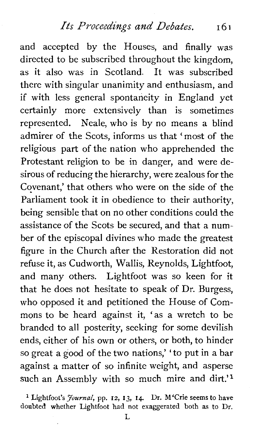and accepted by the Houses, and finally was directed to be subscribed throughout the kingdom, as it also was in Scotland. It was subscribed there with singular unanimity and enthusiasm, and if with less general spontaneity in England yet certainly more extensively than is sometimes represented. Neale, who is by no means a blind admirer of the Scots, informs us that ' most of the religious part of the nation who apprehended the Protestant religion to be in danger, and were desirous of reducing the hierarchy, were zealous for the Covenant,' that others who were on the side of the Parliament took it in obedience to their authority, being sensible that on no other conditions could the assistance of the Scots be secured, and that a number of the episcopal divines who made the greatest figure in the Church after the Restoration did not refuse it, as Cudworth, Wallis, Reynolds, Lightfoot, and many others. Lightfoot was so keen for it that he does not hesitate to speak of Dr. Burgess, who opposed it and petitioned the House of Commons to be heard against it, 'as a wretch to be branded to all posterity, seeking for some devilish ends, either of his own or others, or both, to hinder so great a good of the two nations,' 'to put in a bar against a matter of so infinite weight, and asperse such an Assembly with so much mire and dirt.'<sup>1</sup>

Lightfoot's *Journal,* pp. 12, **13, 14.** Dr. M'Crie seems to have doubted whether Lightfoot had not exaggerated both as to Dr.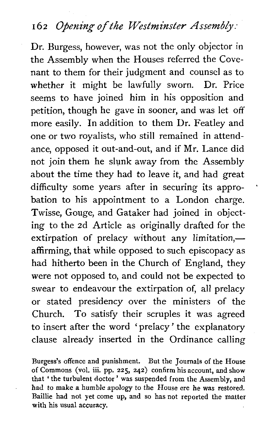#### 162 Opening of the Westminster Assembly:

Dr. Burgess, however, was not the only objector in the Assembly when the Houses referred the Covenant to them for their judgment and counsel as to whether it might be lawfully sworn. Dr. Price seems to have joined him in his opposition and petition, though he gave in sooner, and was let off more easily. In addition to them Dr. Featley and one or two royalists, who still remained in attendance, opposed it out-and-out, and if Mr. Lance did not join them he slunk away from the Assembly about the time they had to leave it, and had great difficulty some years after in securing its approbation to his appointment to a London charge. Twisse, Gouge, and Gataker had joined in objecting to the 2d Article as originally drafted for the extirpation of prelacy without any limitation, $$ affirming, that while opposed to such episcopacy as had hitherto been in the Church of England, they were not opposed to, and could not be expected to swear to endeavour the extirpation of, all prelacy or stated presidency over the ministers of the Church. To satisfy their scruples it was agreed to insert after the word ' prelacy ' the explanatory clause already inserted in the Ordinance calling

Burgess's offence and punishment. But the Journals of the House of Commons (vol. iii. pp. 225, 242) confirm his account, and show that 'the turbulent doctor ' was suspended from the Assembly, and had to make *a* humble apology to the House ere he was restored. Baillie had not yet come up, and so has not reported the matter with his usual accuracy.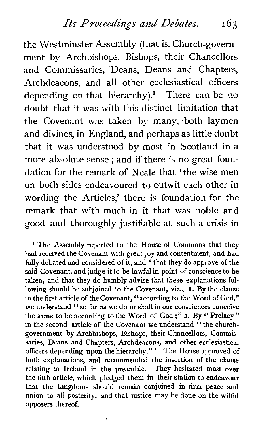*Its Proceedings and Debates. 163* 

the Westminster Assembly (that is, Church-government by Archbishops, Bishops, their Chancellors and Commissaries, Deans, Deans and Chapters, Archdeacons, and all other ecclesiastical officers depending on that hierarchy).<sup>1</sup> There can be no doubt that it was with this distinct limitation that the Covenant was taken by many, both laymen and divines, in England, and perhaps as little doubt that it was understood by most in Scotland in a more absolute sense ; and if there is no great foundation for the remark of Neale that 'the wise men on both sides endeavoured to outwit each other in wording the Articles,' there is foundation for the remark that with much in it that was noble and good and thoroughly justifiable at such a crisis in

<sup>1</sup> The Assembly reported to the House of Commons that they had received the Covenant with great joy and contentment, and had fully debated and considered of it, and ' that they do approve of the said Covenant, and judge it to be lawful in point of conscience to be taken, and that they do humbly advise that these explanations following should be subjoined to the Covenant, viz., I. By the clause in the first article of thecovenant, "according to the Word of God," we understand " so far as we do or shall in our consciences conceive the same to be according to the Word of God ;" 2. By " Prelacy" in the second article of the Covenant we understand "the churchgovernment by Archbishops, Bishops, their Chancellors, Commissaries. Deans and Chapters, Archdeacons, and other ecclesiastical officers depending upon the hierarchy." ' The House approved of both explanations, and recommended the insertion of the clause relating to Ireland in the preamble. They hesitated most over the fifth article, which pledged them in their station to endeavour that the kingdoms should remain conjoined in firm peace and union to all posterity, and that justice may be done on the wilful opposers thereof.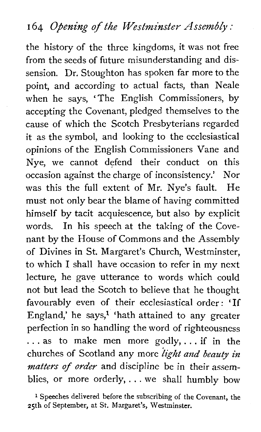#### **<sup>I</sup>**64 *Opening* **of** *the* **Westminster** *Assembly* :

the history of the three kingdoms, it was not free from the seeds of future misunderstanding and dissension. Dr. Stoughton has spoken far more to the point, and according to actual facts, than Neale when he says, 'The English Commissioners, by accepting the Covenant, pledged themselves to the cause of which the Scotch Presbyterians regarded it as the symbol, and looking to the ecclesiastical opinions of the English Commissioners Vane and Nye, we cannot defend their conduct on this occasion against the charge of inconsistency.' Nor was this the full extent of Mr. Nye's fault. He must not only bear the blame of having committed himself by tacit acquiescence, but also by explicit words. In his speech at the taking of the Covenant by the House of Commons and the Assembly of Divines in St. Margaret's Church, Westminster, to which I shall have occasion to refer in my next lecture, he gave utterance to words which could not but lead the Scotch to believe that he thought favourably even of their ecclesiastical order: 'If England,' he says, $1$  'hath attained to any greater perfection in so handling the word of righteousness . . . as to make men more godly,. . . if in the churches of Scotland any more *light and beauty in matters* of *order* and discipline *be* in their assemblies, or more orderly, . . . we shall humbly bow

**<sup>1</sup>**Speeches delivered before the subscribing of the Covenant, the 25th of September, at St. Margaret's, Westminster.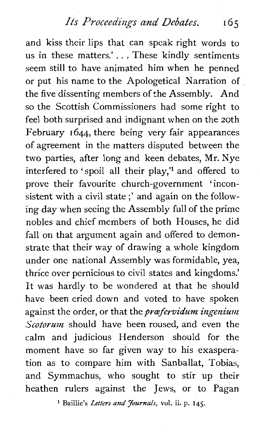*Its Proceedings and Debates.* **165** 

and kiss their lips that can speak right words to us in these matters.'...These kindly sentiments seem still to have animated him when he penned or put his name to the Apologetical Narration of the five dissenting members of the Assembly. And so the Scottish Commissioners had some right to feel both surprised and indignant when on the 20th February **1644,** there being very fair appearances of agreement in the matters disputed between the two parties, after long and keen debates, Mr. Nye interfered to 'spoil all their play," and offered to prove their favourite church-government 'inconsistent with a civil state ;' and again on the following day when seeing the Assembly full of the prime nobles and chief members of both Houses, he did fall on that argument again and offered to demonstrate that their way of drawing a whole kingdom under one national Assembly was formidable, yea, thrice over pernicious to civil states and kingdoms.' It was hardly to be wondered at that he should have been cried down and voted to have spoken against the order, or that the *proefervidum ingenium Scotorum* should have been roused, and even the calm and judicious Henderson should for the moment have so far given way to his exasperation as to compare him with Sanballat, Tobias, and Symmachus, who sought to stir up their heathen rulers against the Jews, or to Pagan

**l** Baillie's *Letters* **and Journals, vol.** ii. **p. 145.**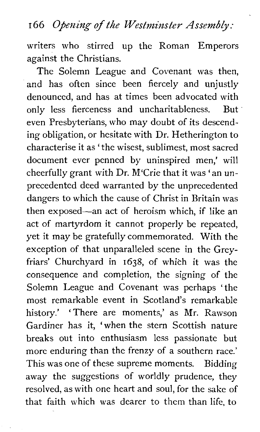#### **I 66 Opening of the Westminster Assembly** :

writers who stirred up the Roman Emperors against the Christians.

The Solemn League and Covenant was then, and has often since been fiercely and unjustly denounced, and has at times been advocated with only less fierceness and uncharitableness. But even Presbyterians, who may doubt of its descending obligation, or hesitate with Dr. Hetherington to characterise it as 'the wisest, sublimest, most sacred document ever penned by uninspired men,' will cheerfully grant with Dr. M'Crie that it was 'an unprecedented deed warranted by the unprecedented dangers to which the cause of Christ in Britain was then exposed-an act of heroism which, if like an act of martyrdom it cannot properly be repeated, yet it may be gratefully commemorated. With the exception of that unparalleled scene in the Greyfriars' Churchyard in 1638, of which it was the consequence and completion, the signing of the Solemn League and Covenant was perhaps 'the most remarkable event in Scotland's remarkable history.' 'There are moments,' as Mr. Rawson Gardiner has it, 'when the stern Scottish nature breaks out into enthusiasm less passionate but more enduring than the frenzy of a southern race.' This was one of these supreme moments. Bidding away the suggestions of worldly prudence, they resolved, as with one heart and soul, for the sake of that faith which was dearer to them than life, to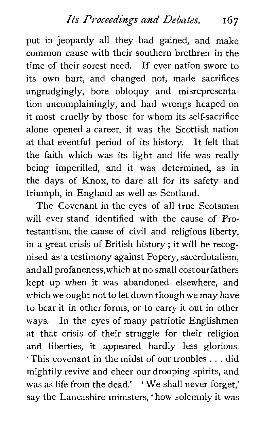put in jeopardy all they had gained, and make common cause with their southern brethren in the time of their sorest need. If ever nation swore to its own hurt, and changed not, made sacrifices ungrudgingly, bore obloquy and misrepresentation uncomplainingly, and had wrongs heaped on it most cruelly by those for whom its self-sacrifice alone opened a career, it was the Scottish nation at that eventful period of its history. It felt that the faith which was its light and life was really being imperilled, and it was determined, as in the days of Knox, to dare all for its safety and triumph, in England as well as Scotland.

The Covenant in the eyes of all true Scotsmen will ever stand identified with the cause of Protestantism, the cause of civil and religious liberty, in a great crisis of British history ; it will be recognised as a testimony against Popery, sacerdotalism, andall profaneness,which at no small costourfathers kept up when it was abandoned elsewhere, and which we ought not to let down though we may have to bear it in other forms, or to carry it out in other ways. In the eyes of many patriotic Englishmen at that crisis of their struggle for their religion and liberties, it appeared hardly less glorious. ' This covenant in the midst of our troubles . . . did mightily revive and cheer our drooping spirits, and was as life from the dead.' ' We shall never forget,' say the Lancashire ministers, ' how solemnly it was